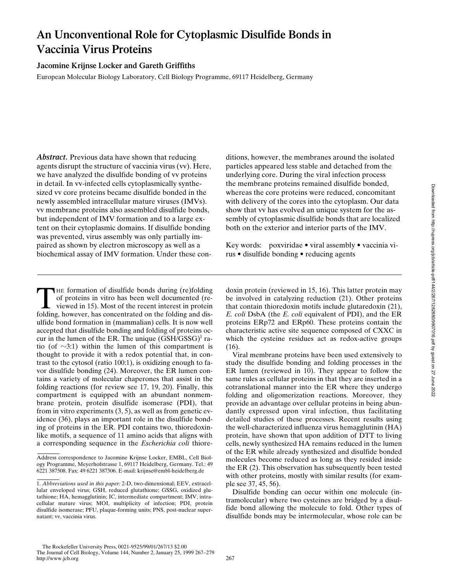# **An Unconventional Role for Cytoplasmic Disulfide Bonds in Vaccinia Virus Proteins**

# **Jacomine Krijnse Locker and Gareth Griffiths**

European Molecular Biology Laboratory, Cell Biology Programme, 69117 Heidelberg, Germany

*Abstract.* Previous data have shown that reducing agents disrupt the structure of vaccinia virus (vv). Here, we have analyzed the disulfide bonding of vv proteins in detail. In vv-infected cells cytoplasmically synthesized vv core proteins became disulfide bonded in the newly assembled intracellular mature viruses (IMVs). vv membrane proteins also assembled disulfide bonds, but independent of IMV formation and to a large extent on their cytoplasmic domains. If disulfide bonding was prevented, virus assembly was only partially impaired as shown by electron microscopy as well as a biochemical assay of IMV formation. Under these con-

THE formation of disulfide bonds during (re)folding<br>of proteins in vitro has been well documented (re-<br>viewed in 15). Most of the recent interest in protein<br>folding however has concentrated on the folding and disof proteins in vitro has been well documented (refolding, however, has concentrated on the folding and disulfide bond formation in (mammalian) cells. It is now well accepted that disulfide bonding and folding of proteins occur in the lumen of the ER. The unique  $(GSH/GSSG)^1$  ratio (of  $\sim$ 3:1) within the lumen of this compartment is thought to provide it with a redox potential that, in contrast to the cytosol (ratio 100:1), is oxidizing enough to favor disulfide bonding (24). Moreover, the ER lumen contains a variety of molecular chaperones that assist in the folding reactions (for review see 17, 19, 20). Finally, this compartment is equipped with an abundant nonmembrane protein, protein disulfide isomerase (PDI), that from in vitro experiments (3, 5), as well as from genetic evidence (36), plays an important role in the disulfide bonding of proteins in the ER. PDI contains two, thioredoxinlike motifs, a sequence of 11 amino acids that aligns with a corresponding sequence in the *Escherichia coli* thioreditions, however, the membranes around the isolated particles appeared less stable and detached from the underlying core. During the viral infection process the membrane proteins remained disulfide bonded, whereas the core proteins were reduced, concomitant with delivery of the cores into the cytoplasm. Our data show that vv has evolved an unique system for the assembly of cytoplasmic disulfide bonds that are localized both on the exterior and interior parts of the IMV.

Key words: poxviridae • viral assembly • vaccinia virus • disulfide bonding • reducing agents

doxin protein (reviewed in 15, 16). This latter protein may be involved in catalyzing reduction (21). Other proteins that contain thioredoxin motifs include glutaredoxin (21), *E. coli* DsbA (the *E. coli* equivalent of PDI), and the ER proteins ERp72 and ERp60. These proteins contain the characteristic active site sequence composed of CXXC in which the cysteine residues act as redox-active groups (16).

Viral membrane proteins have been used extensively to study the disulfide bonding and folding processes in the ER lumen (reviewed in 10). They appear to follow the same rules as cellular proteins in that they are inserted in a cotranslational manner into the ER where they undergo folding and oligomerization reactions. Moreover, they provide an advantage over cellular proteins in being abundantly expressed upon viral infection, thus facilitating detailed studies of these processes. Recent results using the well-characterized influenza virus hemagglutinin (HA) protein, have shown that upon addition of DTT to living cells, newly synthesized HA remains reduced in the lumen of the ER while already synthesized and disulfide bonded molecules become reduced as long as they resided inside the ER (2). This observation has subsequently been tested with other proteins, mostly with similar results (for example see 37, 45, 56).

Disulfide bonding can occur within one molecule (intramolecular) where two cysteines are bridged by a disulfide bond allowing the molecule to fold. Other types of disulfide bonds may be intermolecular, whose role can be

Address correspondence to Jacomine Krijnse Locker, EMBL, Cell Biology Programme, Meyerhofstrasse 1, 69117 Heidelberg, Germany. Tel.: 49 6221 387508. Fax: 49 6221 387306. E-mail: krijnse@embl-heidelberg.de

<sup>1.</sup> *Abbreviations used in this paper:* 2-D, two-dimensional; EEV, extracellular enveloped virus; GSH, reduced glutathione; GSSG, oxidized glutathione; HA, hemagglutinin; IC, intermediate compartment; IMV, intracellular mature virus; MOI, multiplicity of infection; PDI, protein disulfide isomerase; PFU, plaque-forming units; PNS, post-nuclear supernatant; vv, vaccinia virus.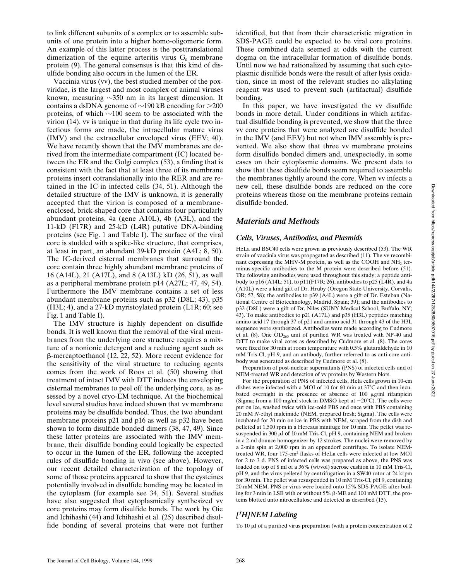Vaccinia virus (vv), the best studied member of the poxviridae, is the largest and most complex of animal viruses known, measuring  $\sim$ 350 nm in its largest dimension. It contains a dsDNA genome of  $\sim$ 190 kB encoding for  $>$ 200 proteins, of which  $\sim$ 100 seem to be associated with the virion (14). vv is unique in that during its life cycle two infectious forms are made, the intracellular mature virus (IMV) and the extracellular enveloped virus (EEV; 40). We have recently shown that the IMV membranes are derived from the intermediate compartment (IC) located between the ER and the Golgi complex (53), a finding that is consistent with the fact that at least three of its membrane proteins insert cotranslationally into the RER and are retained in the IC in infected cells (34, 51). Although the detailed structure of the IMV is unknown, it is generally accepted that the virion is composed of a membraneenclosed, brick-shaped core that contains four particularly abundant proteins, 4a (gene A10L), 4b (A3L), and the 11-kD (F17R) and 25-kD (L4R) putative DNA-binding proteins (see Fig. 1 and Table I). The surface of the viral core is studded with a spike-like structure, that comprises, at least in part, an abundant 39-kD protein (A4L; 8, 50). The IC-derived cisternal membranes that surround the core contain three highly abundant membrane proteins of 16 (A14L), 21 (A17L), and 8 (A13L) kD (26, 51), as well as a peripheral membrane protein p14 (A27L; 47, 49, 54). Furthermore the IMV membrane contains a set of less abundant membrane proteins such as p32 (D8L; 43), p35 (H3L; 4), and a 27-kD myristoylated protein (L1R; 60; see Fig. 1 and Table I).

The IMV structure is highly dependent on disulfide bonds. It is well known that the removal of the viral membranes from the underlying core structure requires a mixture of a nonionic detergent and a reducing agent such as b-mercaptoethanol (12, 22, 52). More recent evidence for the sensitivity of the viral structure to reducing agents comes from the work of Roos et al. (50) showing that treatment of intact IMV with DTT induces the enveloping cisternal membranes to peel off the underlying core, as assessed by a novel cryo-EM technique. At the biochemical level several studies have indeed shown that vv membrane proteins may be disulfide bonded. Thus, the two abundant membrane proteins p21 and p16 as well as p32 have been shown to form disulfide bonded dimers (38, 47, 49). Since these latter proteins are associated with the IMV membrane, their disulfide bonding could logically be expected to occur in the lumen of the ER, following the accepted rules of disulfide bonding in vivo (see above). However, our recent detailed characterization of the topology of some of those proteins appeared to show that the cysteines potentially involved in disulfide bonding may be located in the cytoplasm (for example see 34, 51). Several studies have also suggested that cytoplasmically synthesized vv core proteins may form disulfide bonds. The work by Oie and Ichihashi (44) and Ichihashi et al. (25) described disulfide bonding of several proteins that were not further identified, but that from their characteristic migration in SDS-PAGE could be expected to be viral core proteins. These combined data seemed at odds with the current dogma on the intracellular formation of disulfide bonds. Until now we had rationalized by assuming that such cytoplasmic disulfide bonds were the result of after lysis oxidation, since in most of the relevant studies no alkylating reagent was used to prevent such (artifactual) disulfide bonding.

In this paper, we have investigated the vv disulfide bonds in more detail. Under conditions in which artifactual disulfide bonding is prevented, we show that the three vv core proteins that were analyzed are disulfide bonded in the IMV (and EEV) but not when IMV assembly is prevented. We also show that three vv membrane proteins form disulfide bonded dimers and, unexpectedly, in some cases on their cytoplasmic domains. We present data to show that these disulfide bonds seem required to assemble the membranes tightly around the core. When vv infects a new cell, these disulfide bonds are reduced on the core proteins whereas those on the membrane proteins remain disulfide bonded.

# *Materials and Methods*

# *Cells, Viruses, Antibodies, and Plasmids*

HeLa and BSC40 cells were grown as previously described (53). The WR strain of vaccinia virus was propagated as described (11). The vv recombinant expressing the MHV-M protein, as well as the COOH and  $NH<sub>2</sub>$  terminus-specific antibodies to the M protein were described before (51). The following antibodies were used throughout this study; a peptide antibody to p16 (A14L; 51), to p11(F17R; 26), antibodies to p25 (L4R), and 4a (A10L) were a kind gift of Dr. Hruby (Oregon State University, Corvalis, OR; 57, 58); the antibodies to p39 (A4L) were a gift of Dr. Esteban (National Centre of Biotechnology, Madrid, Spain; 39); and the antibodies to p32 (D8L) were a gift of Dr. Niles (SUNY Medical School, Buffalo, NY; 43). To make antibodies to p21 (A17L) and p35 (H3L) peptides matching amino acid 17 through 37 of p21 and amino acid 31 through 43 of the H3L sequence were synthesized. Antibodies were made according to Cudmore et al. (8). One  $OD<sub>260</sub>$  unit of purified WR was treated with NP-40 and DTT to make viral cores as described by Cudmore et al. (8). The cores were fixed for 30 min at room temperature with 0.5% glutaraldehyde in 10 mM Tris-Cl, pH 9, and an antibody, further referred to as anti-core antibody was generated as described by Cudmore et al. (8).

Preparation of post-nuclear supernatants (PNS) of infected cells and of NEM-treated WR and detection of vv proteins by Western blots.

For the preparation of PNS of infected cells, Hela cells grown in 10-cm dishes were infected with a MOI of 10 for 60 min at  $37^{\circ}$ C and then incubated overnight in the presence or absence of  $100 \mu g/ml$  rifampicin (Sigma; from a 100 mg/ml stock in DMSO kept at  $-20^{\circ}$ C). The cells were put on ice, washed twice with ice-cold PBS and once with PBS containing 20 mM *N*-ethyl maleimide (NEM, prepared fresh; Sigma). The cells were incubated for 20 min on ice in PBS with NEM, scraped from the dish and pelleted at 1,500 rpm in a Hereaus minifuge for 10 min. The pellet was resuspended in 300  $\mu$ l of 10 mM Tris-Cl, pH 9, containing NEM and broken in a 2-ml dounce homogenizer by 12 strokes. The nuclei were removed by a 2-min spin at 2,000 rpm in an eppendorf centrifuge. To isolate NEMtreated WR, four 175-cm<sup>2</sup> flasks of HeLa cells were infected at low MOI for 2 to 3 d. PNS of infected cells was prepared as above, the PNS was loaded on top of 8 ml of a 36% (wt/vol) sucrose cushion in 10 mM Tris-Cl, pH 9, and the virus pelleted by centrifugation in a SW40 rotor at 24 krpm for 30 min. The pellet was resuspended in 10 mM Tris-Cl, pH 9, containing 20 mM NEM. PNS or virus were loaded onto 15% SDS-PAGE after boiling for 3 min in LSB with or without 5%  $\beta$ -ME and 100 mM DTT, the proteins blotted unto nitrocellulose and detected as described (13).

# *[3 H]NEM Labeling*

To 10  $\mu$ l of a purified virus preparation (with a protein concentration of 2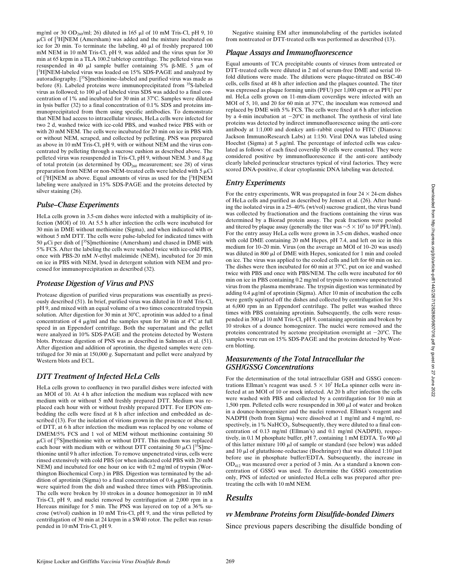mg/ml or 30 OD<sub>260</sub>/ml; 26) diluted in 165 µl of 10 mM Tris-Cl, pH 9, 10  $\mu$ Ci of [<sup>3</sup>H]NEM (Amersham) was added and the mixture incubated on ice for 20 min. To terminate the labeling,  $40 \mu l$  of freshly prepared  $100$ mM NEM in 10 mM Tris-Cl, pH 9, was added and the virus spun for 30 min at 65 krpm in a TLA 100.2 tabletop centrifuge. The pelleted virus was resuspended in 40  $\mu$ l sample buffer containing 5%  $\beta$ -ME. 5  $\mu$ m of [ 3 H]NEM-labeled virus was loaded on 15% SDS-PAGE and analyzed by autoradiography. [<sup>35</sup>S]methionine–labeled and purified virus was made as before (8). Labeled proteins were immunoprecipitated from 35S-labeled virus as followed; to 100  $\mu$ l of labeled virus SDS was added to a final concentration of 1% and incubated for 30 min at 37°C. Samples were diluted in lysis buffer (32) to a final concentration of 0.1% SDS and proteins immunoprecipitated from them using specific antibodies. To demonstrate that NEM had access to intracellular viruses, HeLa cells were infected for two 2 d, washed twice with ice-cold PBS, and washed twice PBS with or with 20 mM NEM. The cells were incubated for 20 min on ice in PBS with or without NEM, scraped, and collected by pelleting. PNS was prepared as above in 10 mM Tris-Cl, pH 9, with or without NEM and the virus concentrated by pelleting through a sucrose cushion as described above. The pelleted virus was resuspended in Tris-Cl, pH 9, without NEM. 3 and 8  $\mu$ g of total protein (as determined by  $OD<sub>260</sub>$  measurement; see 28) of virus preparation from NEM or non-NEM-treated cells were labeled with  $5 \mu Ci$ of [<sup>3</sup>H]NEM as above. Equal amounts of virus as used for the [<sup>3</sup>H]NEM labeling were analyzed in 15% SDS-PAGE and the proteins detected by silver staining (26).

#### *Pulse–Chase Experiments*

HeLa cells grown in 3.5-cm dishes were infected with a multiplicity of infection (MOI) of 10. At 5.5 h after infection the cells were incubated for 30 min in DME without methionine (Sigma), and when indicated with or without 5 mM DTT. The cells were pulse-labeled for indicated times with 50  $\upmu\textrm{Ci}$  per dish of [35S]methionine (Amersham) and chased in DME with 5% FCS. After the labeling the cells were washed twice with ice-cold PBS, once with PBS-20 mM *N*-ethyl maleimide (NEM), incubated for 20 min on ice in PBS with NEM, lysed in detergent solution with NEM and processed for immunoprecipitation as described (32).

#### *Protease Digestion of Virus and PNS*

Protease digestion of purified virus preparations was essentially as previously described (51). In brief, purified virus was diluted in 10 mM Tris-Cl, pH 9, and mixed with an equal volume of a two times concentrated trypsin solution. After digestion for 30 min at 30°C, aprotinin was added to a final concentration of 4  $\mu$ g/ml and the samples spun for 30 min at 4°C at full speed in an Eppendorf centrifuge. Both the supernatant and the pellet were analyzed in 10% SDS-PAGE and the proteins detected by Western blots. Protease digestion of PNS was as described in Salmons et al. (51). After digestion and addition of aprotinin, the digested samples were centrifuged for 30 min at 150,000 *g*. Supernatant and pellet were analyzed by Western blots and ECL.

#### *DTT Treatment of Infected HeLa Cells*

HeLa cells grown to confluency in two parallel dishes were infected with an MOI of 10. At 4 h after infection the medium was replaced with new medium with or without 5 mM freshly prepared DTT. Medium was replaced each hour with or without freshly prepared DTT. For EPON embedding the cells were fixed at 8 h after infection and embedded as described (13). For the isolation of virions grown in the presence or absence of DTT, at 6 h after infection the medium was replaced by one volume of DMEM/5% FCS and 1 vol of MEM without methionine containing 50  $\mu$ Ci of [<sup>35</sup>S]methionine with or without DTT. This medium was replaced each hour with medium with or without DTT containing 50  $\mu$ Ci [<sup>35</sup>S]methionine until 9 h after infection. To remove unpenetrated virus, cells were rinsed extensively with cold PBS (or when indicated cold PBS with 20 mM NEM) and incubated for one hour on ice with 0.2 mg/ml of trypsin (Worthington Biochemical Corp.) in PBS. Digestion was terminated by the addition of aprotinin (Sigma) to a final concentration of  $0.4 \mu g/ml$ . The cells were squirted from the dish and washed three times with PBS/aprotinin. The cells were broken by 10 strokes in a dounce homogenizer in 10 mM Tris-Cl, pH 9, and nuclei removed by centrifugation at 2,000 rpm in a Hereaus minifuge for 5 min. The PNS was layered on top of a 36% sucrose (wt/vol) cushion in 10 mM Tris-Cl, pH 9, and the virus pelleted by centrifugation of 30 min at 24 krpm in a SW40 rotor. The pellet was resuspended in 10 mM Tris-Cl, pH 9.

Negative staining EM after immunolabeling of the particles isolated from nontreated or DTT-treated cells was performed as described (13).

#### *Plaque Assays and Immunofluorescence*

Equal amounts of TCA precipitable counts of viruses from untreated or DTT-treated cells were diluted in 2 ml of serum-free DME and serial 10 fold dilutions were made. The dilutions were plaque-titrated on BSC-40 cells, cells fixed at 48 h after infection and the plaques counted. The titer was expressed as plaque forming units (PFU) per 1,000 cpm or as PFU per ml. HeLa cells grown on 11-mm-diam coverslips were infected with an MOI of 5, 10, and 20 for 60 min at  $37^{\circ}$ C, the inoculum was removed and replaced by DME with 5% FCS. The cells were fixed at 6 h after infection by a 4-min incubation at  $-20^{\circ}$ C in methanol. The synthesis of viral late proteins was detected by indirect immunofluorescence using the anti-core antibody at 1:1,000 and donkey anti–rabbit coupled to FITC (Dianova: Jackson ImmunoResearch Labs) at 1:150. Viral DNA was labeled using Hoechst (Sigma) at 5  $\mu$ g/ml. The percentage of infected cells was calculated as follows: of each fixed coverslip 50 cells were counted. They were considered positive by immunofluorescence if the anti-core antibody clearly labeled perinuclear structures typical of viral factories. They were scored DNA-positive, if clear cytoplasmic DNA labeling was detected.

#### *Entry Experiments*

For the entry experiments, WR was propagated in four  $24 \times 24$ -cm dishes of HeLa cells and purified as described by Jensen et al. (26). After banding the isolated virus in a 25–40% (wt/vol) sucrose gradient, the virus band was collected by fractionation and the fractions containing the virus was determined by a Biorad protein assay. The peak fractions were pooled and titered by plaque assay (generally the titer was  $\sim$ 5  $\times$  10<sup>7</sup> to 10<sup>8</sup> PFU/ml). For the entry assay HeLa cells were grown in 3.5-cm dishes, washed once with cold DME containing 20 mM Hepes, pH 7.4, and left on ice in this medium for 10–20 min. Virus (on the average an MOI of 10–20 was used) was diluted in 800 µl of DME with Hepes, sonicated for 1 min and cooled on ice. The virus was applied to the cooled cells and left for 60 min on ice. The dishes were then incubated for 60 min at  $37^{\circ}$ C, put on ice and washed twice with PBS and once with PBS/NEM. The cells were incubated for 60 min on ice in PBS containing 0.2 mg/ml of trypsin to remove unpenetrated virus from the plasma membrane. The trypsin digestion was terminated by adding  $0.4 \mu\text{g/ml}$  of aprotinin (Sigma). After 10 min of incubation the cells were gently squirted off the dishes and collected by centrifugation for 30 s at 6,000 rpm in an Eppendorf centrifuge. The pellet was washed three times with PBS containing aprotinin. Subsequently, the cells were resuspended in 300 µl 10 mM Tris-Cl, pH 9, containing aprotinin and broken by 10 strokes of a dounce homogenizer. The nuclei were removed and the proteins concentrated by acetone precipitation overnight at  $-20^{\circ}$ C. The samples were run on 15% SDS-PAGE and the proteins detected by Western blotting.

#### *Measurements of the Total Intracellular the GSH/GSSG Concentrations*

For the determination of the total intracellular GSH and GSSG concentrations Ellman's reagent was used.  $5 \times 10^7$  HeLa spinner cells were infected at an MOI of 10 or mock infected. At 20 h after infection the cells were washed with PBS and collected by a centrifugation for 10 min at 1,500 rpm. Pelleted cells were resuspended in 300  $\mu$ l of water and broken in a dounce-homogenizer and the nuclei removed. Ellman's reagent and NADPH (both from Sigma) were dissolved at 1 mg/ml and 4 mg/ml, respectively, in  $1\%$  NaHCO<sub>3</sub>. Subsequently, they were diluted to a final concentration of 0.13 mg/ml (Ellman's) and 0.1 mg/ml (NADPH), respectively, in 0.1 M phosphate buffer, pH 7, containing 1 mM EDTA. To 900  $\mu$ l of this latter mixture  $100 \mu l$  of sample or standard (see below) was added and  $10 \mu$ l of glutathione-reductase (Boehringer) that was diluted 1:10 just before use in phosphate buffer/EDTA. Subsequently, the increase in OD412 was measured over a period of 3 min. As a standard a known concentration of GSSG was used. To determine the GSSG concentration only, PNS of infected or uninfected HeLa cells was prepared after pretreating the cells with 10 mM NEM.

#### *Results*

#### *vv Membrane Proteins form Disulfide-bonded Dimers*

Since previous papers describing the disulfide bonding of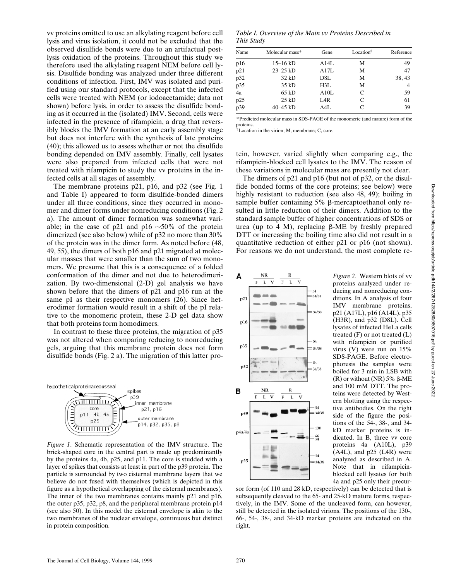vv proteins omitted to use an alkylating reagent before cell lysis and virus isolation, it could not be excluded that the observed disulfide bonds were due to an artifactual postlysis oxidation of the proteins. Throughout this study we therefore used the alkylating reagent NEM before cell lysis. Disulfide bonding was analyzed under three different conditions of infection. First, IMV was isolated and purified using our standard protocols, except that the infected cells were treated with NEM (or iodoacetamide; data not shown) before lysis, in order to assess the disulfide bonding as it occurred in the (isolated) IMV. Second, cells were infected in the presence of rifampicin, a drug that reversibly blocks the IMV formation at an early assembly stage but does not interfere with the synthesis of late proteins (40); this allowed us to assess whether or not the disulfide bonding depended on IMV assembly. Finally, cell lysates were also prepared from infected cells that were not treated with rifampicin to study the vv proteins in the infected cells at all stages of assembly.

The membrane proteins p21, p16, and p32 (see Fig. 1 and Table I) appeared to form disulfide-bonded dimers under all three conditions, since they occurred in monomer and dimer forms under nonreducing conditions (Fig. 2 a). The amount of dimer formation was somewhat variable; in the case of p21 and p16  $\sim$ 50% of the protein dimerized (see also below) while of p32 no more than 30% of the protein was in the dimer form. As noted before (48, 49, 55), the dimers of both p16 and p21 migrated at molecular masses that were smaller than the sum of two monomers. We presume that this is a consequence of a folded conformation of the dimer and not due to heterodimerization. By two-dimensional (2-D) gel analysis we have shown before that the dimers of p21 and p16 run at the same pI as their respective monomers (26). Since heterodimer formation would result in a shift of the pI relative to the monomeric protein, these 2-D gel data show that both proteins form homodimers.

In contrast to these three proteins, the migration of p35 was not altered when comparing reducing to nonreducing gels, arguing that this membrane protein does not form disulfide bonds (Fig. 2 a). The migration of this latter pro-



*Figure 1*. Schematic representation of the IMV structure. The brick-shaped core in the central part is made up predominantly by the proteins 4a, 4b, p25, and p11. The core is studded with a layer of spikes that consists at least in part of the p39 protein. The particle is surrounded by two cisternal membrane layers that we believe do not fused with themselves (which is depicted in this figure as a hypothetical overlapping of the cisternal membranes). The inner of the two membranes contains mainly p21 and p16, the outer p35, p32, p8, and the peripheral membrane protein p14 (see also 50). In this model the cisternal envelope is akin to the two membranes of the nuclear envelope, continuous but distinct in protein composition.

*Table I. Overview of the Main vv Proteins Described in This Study*

| Name | Molecular mass* | Gene | Location <sup>‡</sup> | Reference |
|------|-----------------|------|-----------------------|-----------|
| p16  | 15–16 kD        | A14L | М                     | 49        |
| p21  | $23 - 25$ kD    | A17L | М                     | 47        |
| p32  | 32 kD           | D8L  | М                     | 38, 43    |
| p35  | 35 kD           | H3L  | М                     | 4         |
| 4a   | $65$ kD         | A10L | C                     | 59        |
| p25  | $25$ kD         | L4R  | C                     | 61        |
| p39  | $40 - 45$ kD    | A4L  | C                     | 39        |

\*Predicted molecular mass in SDS-PAGE of the monomeric (and mature) form of the proteins.

‡Location in the virion; M, membrane; C, core.

tein, however, varied slightly when comparing e.g., the rifampicin-blocked cell lysates to the IMV. The reason of these variations in molecular mass are presently not clear.

The dimers of p21 and p16 (but not of p32, or the disulfide bonded forms of the core proteins; see below) were highly resistant to reduction (see also 48, 49); boiling in sample buffer containing  $5\%$   $\beta$ -mercaptoethanol only resulted in little reduction of their dimers. Addition to the standard sample buffer of higher concentrations of SDS or urea (up to 4 M), replacing  $\beta$ -ME by freshly prepared DTT or increasing the boiling time also did not result in a quantitative reduction of either p21 or p16 (not shown). For reasons we do not understand, the most complete re-



*Figure 2.* Western blots of vv proteins analyzed under reducing and nonreducing conditions. In A analysis of four IMV membrane proteins, p21 (A17L), p16 (A14L), p35 (H3R), and p32 (D8L). Cell lysates of infected HeLa cells treated (F) or not treated (L) with rifampicin or purified virus (V) were run on 15% SDS-PAGE. Before electrophoresis the samples were boiled for 3 min in LSB with (R) or without (NR) 5%  $\beta$ -ME and 100 mM DTT. The proteins were detected by Western blotting using the respective antibodies. On the right side of the figure the positions of the 54-, 38-, and 34 kD marker proteins is indicated. In B, three vv core proteins 4a (A10L), p39 (A4L), and p25 (L4R) were analyzed as described in A. Note that in rifampicinblocked cell lysates for both 4a and p25 only their precur-

sor form (of 110 and 28 kD, respectively) can be detected that is subsequently cleaved to the 65- and 25-kD mature forms, respectively, in the IMV. Some of the uncleaved form, can however, still be detected in the isolated virions. The positions of the 130-, 66-, 54-, 38-, and 34-kD marker proteins are indicated on the right.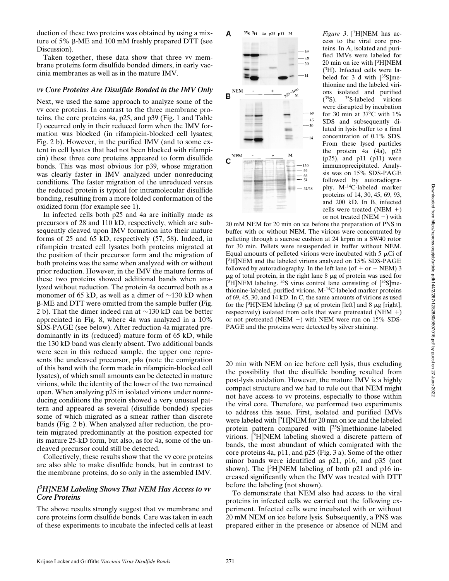duction of these two proteins was obtained by using a mixture of 5%  $\beta$ -ME and 100 mM freshly prepared DTT (see Discussion).

Taken together, these data show that three vv membrane proteins form disulfide bonded dimers, in early vaccinia membranes as well as in the mature IMV.

### *vv Core Proteins Are Disulfide Bonded in the IMV Only*

Next, we used the same approach to analyze some of the vv core proteins. In contrast to the three membrane proteins, the core proteins 4a, p25, and p39 (Fig. 1 and Table I) occurred only in their reduced form when the IMV formation was blocked (in rifampicin-blocked cell lysates; Fig. 2 b). However, in the purified IMV (and to some extent in cell lysates that had not been blocked with rifampicin) these three core proteins appeared to form disulfide bonds. This was most obvious for p39, whose migration was clearly faster in IMV analyzed under nonreducing conditions. The faster migration of the unreduced versus the reduced protein is typical for intramolecular disulfide bonding, resulting from a more folded conformation of the oxidized form (for example see 1).

In infected cells both p25 and 4a are initially made as precursors of 28 and 110 kD, respectively, which are subsequently cleaved upon IMV formation into their mature forms of 25 and 65 kD, respectively (57, 58). Indeed, in rifampicin treated cell lysates both proteins migrated at the position of their precursor form and the migration of both proteins was the same when analyzed with or without prior reduction. However, in the IMV the mature forms of these two proteins showed additional bands when analyzed without reduction. The protein 4a occurred both as a monomer of 65 kD, as well as a dimer of  $\sim$ 130 kD when b-ME and DTT were omitted from the sample buffer (Fig. 2 b). That the dimer indeed ran at  $\sim$ 130 kD can be better appreciated in Fig. 8, where 4a was analyzed in a 10% SDS-PAGE (see below). After reduction 4a migrated predominantly in its (reduced) mature form of 65 kD, while the 130 kD band was clearly absent. Two additional bands were seen in this reduced sample, the upper one represents the uncleaved precursor, p4a (note the comigration of this band with the form made in rifampicin-blocked cell lysates), of which small amounts can be detected in mature virions, while the identity of the lower of the two remained open. When analyzing p25 in isolated virions under nonreducing conditions the protein showed a very unusual pattern and appeared as several (disulfide bonded) species some of which migrated as a smear rather than discrete bands (Fig. 2 b). When analyzed after reduction, the protein migrated predominantly at the position expected for its mature 25-kD form, but also, as for 4a, some of the uncleaved precursor could still be detected.

Collectively, these results show that the vv core proteins are also able to make disulfide bonds, but in contrast to the membrane proteins, do so only in the assembled IMV.

#### *[3 H]NEM Labeling Shows That NEM Has Access to vv Core Proteins*

The above results strongly suggest that vv membrane and core proteins form disulfide bonds. Care was taken in each of these experiments to incubate the infected cells at least



*Figure 3*. [<sup>3</sup> H]NEM has access to the viral core proteins. In A, isolated and purified IMVs were labeled for 20 min on ice with [<sup>3</sup> H]NEM (3 H). Infected cells were labeled for 3 d with  $[35S]$ methionine and the labeled virions isolated and purified  $(^{35}S)$ .  $^{35}S$ -labeled virions were disrupted by incubation for 30 min at  $37^{\circ}$ C with 1% SDS and subsequently diluted in lysis buffer to a final concentration of 0.1% SDS. From these lysed particles the protein 4a (4a), p25  $(p25)$ , and  $p11 (p11)$  were immunoprecipitated. Analysis was on 15% SDS-PAGE followed by autoradiography. M-14C-labeled marker proteins of 14, 30, 45, 69, 93, and 200 kD. In B, infected cells were treated (NEM  $+$ ) or not treated (NEM  $-$ ) with

20 mM NEM for 20 min on ice before the preparation of PNS in buffer with or without NEM. The virions were concentrated by pelleting through a sucrose cushion at 24 krpm in a SW40 rotor for 30 min. Pellets were resuspended in buffer without NEM. Equal amounts of pelleted virions were incubated with  $5 \mu Ci$  of [ 3 H]NEM and the labeled virions analyzed on 15% SDS-PAGE followed by autoradiography. In the left lane (of  $+$  or  $-$  NEM) 3  $\mu$ g of total protein, in the right lane 8  $\mu$ g of protein was used for [<sup>3</sup>H]NEM labeling. <sup>35</sup>S virus control lane consisting of [<sup>35</sup>S]methionine-labeled, purified virions. M-14C-labeled marker proteins of 69, 45, 30, and 14 kD. In C, the same amounts of virions as used for the  $[3H]NEM$  labeling (3  $\mu$ g of protein [left] and 8  $\mu$ g [right], respectively) isolated from cells that were pretreated  $(NEM +)$ or not pretreated (NEM  $-$ ) with NEM were run on 15% SDS-PAGE and the proteins were detected by silver staining.

20 min with NEM on ice before cell lysis, thus excluding the possibility that the disulfide bonding resulted from post-lysis oxidation. However, the mature IMV is a highly compact structure and we had to rule out that NEM might not have access to vv proteins, especially to those within the viral core. Therefore, we performed two experiments to address this issue. First, isolated and purified IMVs were labeled with [3H]NEM for 20 min on ice and the labeled protein pattern compared with  $[35S]$ methionine-labeled virions. [3 H]NEM labeling showed a discrete pattern of bands, the most abundant of which comigrated with the core proteins 4a, p11, and p25 (Fig. 3 a). Some of the other minor bands were identified as p21, p16, and p35 (not shown). The [<sup>3</sup>H]NEM labeling of both p21 and p16 increased significantly when the IMV was treated with DTT before the labeling (not shown).

To demonstrate that NEM also had access to the viral proteins in infected cells we carried out the following experiment. Infected cells were incubated with or without 20 mM NEM on ice before lysis. Subsequently, a PNS was prepared either in the presence or absence of NEM and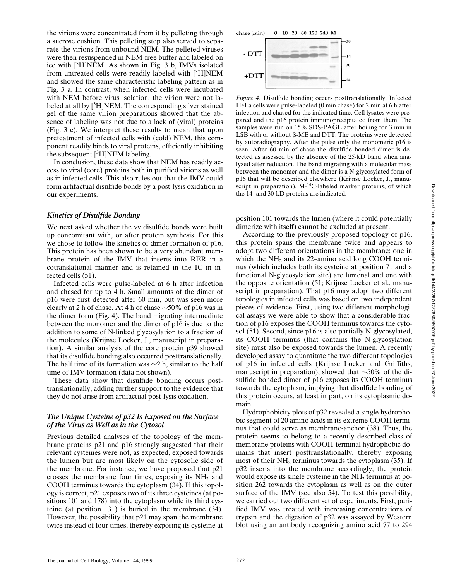the virions were concentrated from it by pelleting through a sucrose cushion. This pelleting step also served to separate the virions from unbound NEM. The pelleted viruses were then resuspended in NEM-free buffer and labeled on ice with [3 H]NEM. As shown in Fig. 3 b, IMVs isolated from untreated cells were readily labeled with [3H]NEM and showed the same characteristic labeling pattern as in Fig. 3 a. In contrast, when infected cells were incubated with NEM before virus isolation, the virion were not labeled at all by [<sup>3</sup>H]NEM. The corresponding silver stained gel of the same virion preparations showed that the absence of labeling was not due to a lack of (viral) proteins (Fig. 3 c). We interpret these results to mean that upon preteatment of infected cells with (cold) NEM, this component readily binds to viral proteins, efficiently inhibiting the subsequent  $[{}^3H]NEM$  labeling.

In conclusion, these data show that NEM has readily access to viral (core) proteins both in purified virions as well as in infected cells. This also rules out that the IMV could form artifactual disulfide bonds by a post-lysis oxidation in our experiments.

#### *Kinetics of Disulfide Bonding*

We next asked whether the vv disulfide bonds were built up concomitant with, or after protein synthesis. For this we chose to follow the kinetics of dimer formation of p16. This protein has been shown to be a very abundant membrane protein of the IMV that inserts into RER in a cotranslational manner and is retained in the IC in infected cells (51).

Infected cells were pulse-labeled at 6 h after infection and chased for up to 4 h. Small amounts of the dimer of p16 were first detected after 60 min, but was seen more clearly at 2 h of chase. At 4 h of chase  $\sim$ 50% of p16 was in the dimer form (Fig. 4). The band migrating intermediate between the monomer and the dimer of p16 is due to the addition to some of N-linked glycosylation to a fraction of the molecules (Krijnse Locker, J., manuscript in preparation). A similar analysis of the core protein p39 showed that its disulfide bonding also occurred posttranslationally. The half time of its formation was  $\sim$ 2 h, similar to the half time of IMV formation (data not shown).

These data show that disulfide bonding occurs posttranslationally, adding further support to the evidence that they do not arise from artifactual post-lysis oxidation.

### *The Unique Cysteine of p32 Is Exposed on the Surface of the Virus as Well as in the Cytosol*

Previous detailed analyses of the topology of the membrane proteins p21 and p16 strongly suggested that their relevant cysteines were not, as expected, exposed towards the lumen but are most likely on the cytosolic side of the membrane. For instance, we have proposed that p21 crosses the membrane four times, exposing its  $NH<sub>2</sub>$  and COOH terminus towards the cytoplasm (34). If this topology is correct, p21 exposes two of its three cysteines (at positions 101 and 178) into the cytoplasm while its third cysteine (at position 131) is buried in the membrane (34). However, the possibility that p21 may span the membrane twice instead of four times, thereby exposing its cysteine at



*Figure 4.* Disulfide bonding occurs posttranslationally. Infected HeLa cells were pulse-labeled (0 min chase) for 2 min at 6 h after infection and chased for the indicated time. Cell lysates were prepared and the p16 protein immunoprecipitated from them. The samples were run on 15% SDS-PAGE after boiling for 3 min in  $LSB$  with or without  $\beta$ -ME and DTT. The proteins were detected by autoradiography. After the pulse only the monomeric p16 is seen. After 60 min of chase the disulfide bonded dimer is detected as assessed by the absence of the 25-kD band when analyzed after reduction. The band migrating with a molecular mass between the monomer and the dimer is a N-glycosylated form of p16 that will be described elsewhere (Krijnse Locker, J., manuscript in preparation). M-14C-labeled marker proteins, of which the 14- and 30-kD proteins are indicated.

position 101 towards the lumen (where it could potentially dimerize with itself) cannot be excluded at present.

According to the previously proposed topology of p16, this protein spans the membrane twice and appears to adopt two different orientations in the membrane; one in which the  $NH<sub>2</sub>$  and its 22–amino acid long COOH terminus (which includes both its cysteine at position 71 and a functional N-glycosylation site) are lumenal and one with the opposite orientation (51; Krijnse Locker et al., manuscript in preparation). That p16 may adopt two different topologies in infected cells was based on two independent pieces of evidence. First, using two different morphological assays we were able to show that a considerable fraction of p16 exposes the COOH terminus towards the cytosol (51). Second, since p16 is also partially N-glycosylated, its COOH terminus (that contains the N-glycosylation site) must also be exposed towards the lumen. A recently developed assay to quantitate the two different topologies of p16 in infected cells (Krijnse Locker and Griffiths, manuscript in preparation), showed that  $\sim$ 50% of the disulfide bonded dimer of p16 exposes its COOH terminus towards the cytoplasm, implying that disulfide bonding of this protein occurs, at least in part, on its cytoplasmic domain.

Hydrophobicity plots of p32 revealed a single hydrophobic segment of 20 amino acids in its extreme COOH terminus that could serve as membrane-anchor (38). Thus, the protein seems to belong to a recently described class of membrane proteins with COOH-terminal hydrophobic domains that insert posttranslationally, thereby exposing most of their  $NH<sub>2</sub>$  terminus towards the cytoplasm (35). If p32 inserts into the membrane accordingly, the protein would expose its single cysteine in the  $NH<sub>2</sub>$  terminus at position 262 towards the cytoplasm as well as on the outer surface of the IMV (see also 54). To test this possibility, we carried out two different set of experiments. First, purified IMV was treated with increasing concentrations of trypsin and the digestion of p32 was assayed by Western blot using an antibody recognizing amino acid 77 to 294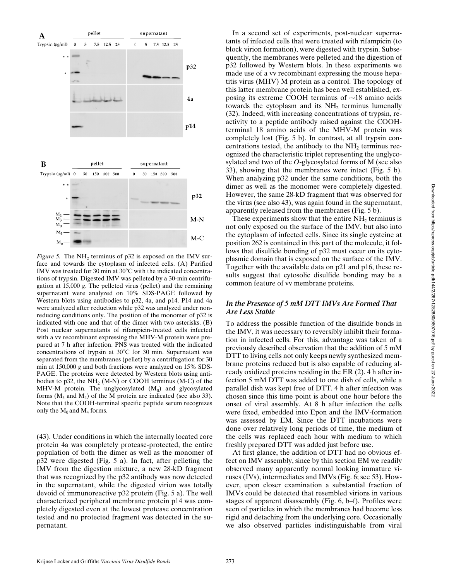

*Figure 5.* The  $NH_2$  terminus of p32 is exposed on the IMV surface and towards the cytoplasm of infected cells. (A) Purified IMV was treated for 30 min at  $30^{\circ}$ C with the indicated concentrations of trypsin. Digested IMV was pelleted by a 30-min centrifugation at 15,000 *g*. The pelleted virus (pellet) and the remaining supernatant were analyzed on 10% SDS-PAGE followed by Western blots using antibodies to p32, 4a, and p14. P14 and 4a were analyzed after reduction while p32 was analyzed under nonreducing conditions only. The position of the monomer of p32 is indicated with one and that of the dimer with two asterisks. (B) Post nuclear supernatants of rifampicin-treated cells infected with a vv recombinant expressing the MHV-M protein were prepared at 7 h after infection. PNS was treated with the indicated concentrations of trypsin at  $30^{\circ}$ C for 30 min. Supernatant was separated from the membranes (pellet) by a centrifugation for 30 min at 150,000 *g* and both fractions were analyzed on 15% SDS-PAGE. The proteins were detected by Western blots using antibodies to p32, the  $NH_2$  (M-N) or COOH terminus (M-C) of the MHV-M protein. The unglycosylated  $(M_0)$  and glycosylated forms  $(M_3 \text{ and } M_4)$  of the M protein are indicated (see also 33). Note that the COOH-terminal specific peptide serum recognizes only the  $M_0$  and  $M_4$  forms.

(43). Under conditions in which the internally located core protein 4a was completely protease-protected, the entire population of both the dimer as well as the monomer of p32 were digested (Fig. 5 a). In fact, after pelleting the IMV from the digestion mixture, a new 28-kD fragment that was recognized by the p32 antibody was now detected in the supernatant, while the digested virion was totally devoid of immunoreactive p32 protein (Fig. 5 a). The well characterized peripheral membrane protein p14 was completely digested even at the lowest protease concentration tested and no protected fragment was detected in the supernatant.

In a second set of experiments, post-nuclear supernatants of infected cells that were treated with rifampicin (to block virion formation), were digested with trypsin. Subsequently, the membranes were pelleted and the digestion of p32 followed by Western blots. In these experiments we made use of a vv recombinant expressing the mouse hepatitis virus (MHV) M protein as a control. The topology of this latter membrane protein has been well established, exposing its extreme COOH terminus of  $\sim$ 18 amino acids towards the cytoplasm and its  $NH<sub>2</sub>$  terminus lumenally (32). Indeed, with increasing concentrations of trypsin, reactivity to a peptide antibody raised against the COOHterminal 18 amino acids of the MHV-M protein was completely lost (Fig. 5 b). In contrast, at all trypsin concentrations tested, the antibody to the  $NH<sub>2</sub>$  terminus recognized the characteristic triplet representing the unglycosylated and two of the *O*-glycosylated forms of M (see also 33), showing that the membranes were intact (Fig. 5 b). When analyzing p32 under the same conditions, both the dimer as well as the monomer were completely digested. However, the same 28-kD fragment that was observed for the virus (see also 43), was again found in the supernatant, apparently released from the membranes (Fig. 5 b).

These experiments show that the entire  $NH<sub>2</sub>$  terminus is not only exposed on the surface of the IMV, but also into the cytoplasm of infected cells. Since its single cysteine at position 262 is contained in this part of the molecule, it follows that disulfide bonding of p32 must occur on its cytoplasmic domain that is exposed on the surface of the IMV. Together with the available data on p21 and p16, these results suggest that cytosolic disulfide bonding may be a common feature of vv membrane proteins.

#### *In the Presence of 5 mM DTT IMVs Are Formed That Are Less Stable*

To address the possible function of the disulfide bonds in the IMV, it was necessary to reversibly inhibit their formation in infected cells. For this, advantage was taken of a previously described observation that the addition of 5 mM DTT to living cells not only keeps newly synthesized membrane proteins reduced but is also capable of reducing already oxidized proteins residing in the ER (2). 4 h after infection 5 mM DTT was added to one dish of cells, while a parallel dish was kept free of DTT. 4 h after infection was chosen since this time point is about one hour before the onset of viral assembly. At 8 h after infection the cells were fixed, embedded into Epon and the IMV-formation was assessed by EM. Since the DTT incubations were done over relatively long periods of time, the medium of the cells was replaced each hour with medium to which freshly prepared DTT was added just before use.

At first glance, the addition of DTT had no obvious effect on IMV assembly, since by thin section EM we readily observed many apparently normal looking immature viruses (IVs), intermediates and IMVs (Fig. 6; see 53). However, upon closer examination a substantial fraction of IMVs could be detected that resembled virions in various stages of apparent disassembly (Fig. 6, b–f). Profiles were seen of particles in which the membranes had become less rigid and detaching from the underlying core. Occasionally we also observed particles indistinguishable from viral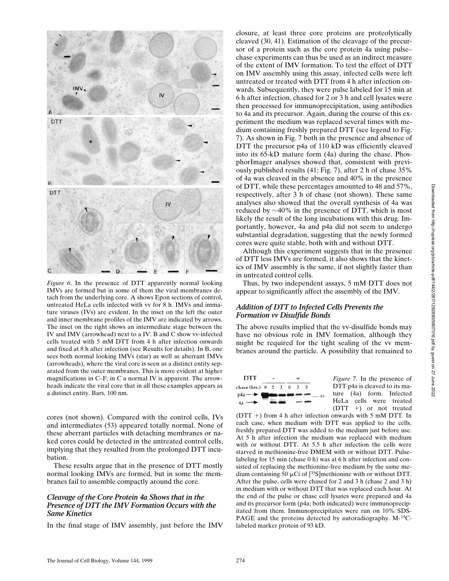

*Figure 6*. In the presence of DTT apparently normal looking IMVs are formed but in some of them the viral membranes detach from the underlying core. A shows Epon sections of control, untreated HeLa cells infected with vv for 8 h. IMVs and immature viruses (IVs) are evident. In the inset on the left the outer and inner membrane profiles of the IMV are indicated by arrows. The inset on the right shows an intermediate stage between the IV and IMV (arrowhead) next to a IV. B and C show vv-infected cells treated with 5 mM DTT from 4 h after infection onwards and fixed at 8 h after infection (see Results for details). In B, one sees both normal looking IMVs (star) as well as aberrant IMVs (arrowheads), where the viral core is seen as a distinct entity separated from the outer membranes. This is more evident at higher magnifications in C–F; in C a normal IV is apparent. The arrowheads indicate the viral core that in all these examples appears as a distinct entity. Bars, 100 nm.

cores (not shown). Compared with the control cells, IVs and intermediates (53) appeared totally normal. None of these aberrant particles with detaching membranes or naked cores could be detected in the untreated control cells, implying that they resulted from the prolonged DTT incubation.

These results argue that in the presence of DTT mostly normal looking IMVs are formed, but in some the membranes fail to assemble compactly around the core.

#### *Cleavage of the Core Protein 4a Shows that in the Presence of DTT the IMV Formation Occurs with the Same Kinetics*

In the final stage of IMV assembly, just before the IMV

closure, at least three core proteins are proteolytically cleaved (30, 41). Estimation of the cleavage of the precursor of a protein such as the core protein 4a using pulse– chase experiments can thus be used as an indirect measure of the extent of IMV formation. To test the effect of DTT on IMV assembly using this assay, infected cells were left untreated or treated with DTT from 4 h after infection onwards. Subsequently, they were pulse labeled for 15 min at 6 h after infection, chased for 2 or 3 h and cell lysates were then processed for immunoprecipitation, using antibodies to 4a and its precursor. Again, during the course of this experiment the medium was replaced several times with medium containing freshly prepared DTT (see legend to Fig. 7). As shown in Fig. 7 both in the presence and absence of DTT the precursor p4a of 110 kD was efficiently cleaved into its 65-kD mature form (4a) during the chase. PhosphorImager analyses showed that, consistent with previously published results (41; Fig. 7), after 2 h of chase 35% of 4a was cleaved in the absence and 40% in the presence of DTT, while these percentages amounted to 48 and 57%, respectively, after 3 h of chase (not shown). These same analyses also showed that the overall synthesis of 4a was reduced by  $\sim$ 40% in the presence of DTT, which is most likely the result of the long incubations with this drug. Importantly, however, 4a and p4a did not seem to undergo substantial degradation, suggesting that the newly formed cores were quite stable, both with and without DTT.

Although this experiment suggests that in the presence of DTT less IMVs are formed, it also shows that the kinetics of IMV assembly is the same, if not slightly faster than in untreated control cells.

Thus, by two independent assays, 5 mM DTT does not appear to significantly affect the assembly of the IMV.

#### *Addition of DTT to Infected Cells Prevents the Formation vv Disulfide Bonds*

The above results implied that the vv-disulfide bonds may have no obvious role in IMV formation, although they might be required for the tight sealing of the vv membranes around the particle. A possibility that remained to

| <b>DTT</b>                |  |  |  |  |  |  |       | <i>Figure 7.</i> In |
|---------------------------|--|--|--|--|--|--|-------|---------------------|
| chase (hrs.) 0 2 3 0 2 3  |  |  |  |  |  |  |       | $DTT$ p4a is c      |
| $p4a \rightarrow \bullet$ |  |  |  |  |  |  | $-93$ | ture $(4a)$         |
| 4a -                      |  |  |  |  |  |  |       | HeLa cells          |
|                           |  |  |  |  |  |  |       | $(DTT +)$           |

the presence of leaved to its maform. Infected were treated or not treated

 $(DTT +)$  from 4 h after infection onwards with 5 mM DTT. In each case, when medium with DTT was applied to the cells, freshly prepared DTT was added to the medium just before use. At 5 h after infection the medium was replaced with medium with or without DTT. At 5.5 h after infection the cells were starved in methionine-free DMEM with or without DTT. Pulselabeling for 15 min (chase 0 h) was at 6 h after infection and consisted of replacing the methionine-free medium by the same medium containing 50  $\mu$ Ci of [<sup>35</sup>S]methionine with or without DTT. After the pulse, cells were chased for 2 and 3 h (chase 2 and 3 h) in medium with or without DTT that was replaced each hour. At the end of the pulse or chase cell lysates were prepared and 4a and its precursor form (p4a; both indicated) were immunoprecipitated from them. Immunoprecipitates were run on 10% SDS-PAGE and the proteins detected by autoradiography. M-14Clabeled marker protein of 93 kD.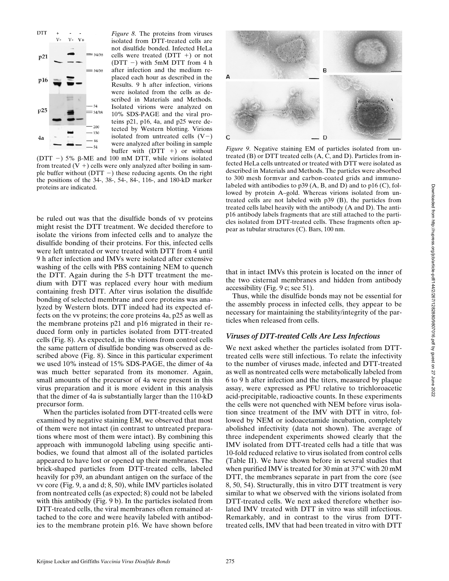

*Figure 8*. The proteins from viruses isolated from DTT-treated cells are not disulfide bonded. Infected HeLa cells were treated  $(DTT +)$  or not  $(DTT -)$  with 5mM DTT from 4 h after infection and the medium replaced each hour as described in the Results. 9 h after infection, virions were isolated from the cells as described in Materials and Methods. Isolated virions were analyzed on 10% SDS-PAGE and the viral proteins p21, p16, 4a, and p25 were detected by Western blotting. Virions isolated from untreated cells  $(V-)$ were analyzed after boiling in sample buffer with  $(DTT +)$  or without

(DTT  $-$ ) 5%  $\beta$ -ME and 100 mM DTT, while virions isolated from treated  $(V +)$  cells were only analyzed after boiling in sample buffer without  $(DTT -)$  these reducing agents. On the right the positions of the 34-, 38-, 54-, 84-, 116-, and 180-kD marker proteins are indicated.

be ruled out was that the disulfide bonds of vv proteins might resist the DTT treatment. We decided therefore to isolate the virions from infected cells and to analyze the disulfide bonding of their proteins. For this, infected cells were left untreated or were treated with DTT from 4 until 9 h after infection and IMVs were isolated after extensive washing of the cells with PBS containing NEM to quench the DTT. Again during the 5-h DTT treatment the medium with DTT was replaced every hour with medium containing fresh DTT. After virus isolation the disulfide bonding of selected membrane and core proteins was analyzed by Western blots. DTT indeed had its expected effects on the vv proteins; the core proteins 4a, p25 as well as the membrane proteins p21 and p16 migrated in their reduced form only in particles isolated from DTT-treated cells (Fig. 8). As expected, in the virions from control cells the same pattern of disulfide bonding was observed as described above (Fig. 8). Since in this particular experiment we used 10% instead of 15% SDS-PAGE, the dimer of 4a was much better separated from its monomer. Again, small amounts of the precursor of 4a were present in this virus preparation and it is more evident in this analysis that the dimer of 4a is substantially larger than the 110-kD precursor form.

When the particles isolated from DTT-treated cells were examined by negative staining EM, we observed that most of them were not intact (in contrast to untreated preparations where most of them were intact). By combining this approach with immunogold labeling using specific antibodies, we found that almost all of the isolated particles appeared to have lost or opened up their membranes. The brick-shaped particles from DTT-treated cells, labeled heavily for p39, an abundant antigen on the surface of the vv core (Fig. 9, a and d; 8, 50), while IMV particles isolated from nontreated cells (as expected; 8) could not be labeled with this antibody (Fig. 9 b). In the particles isolated from DTT-treated cells, the viral membranes often remained attached to the core and were heavily labeled with antibodies to the membrane protein p16. We have shown before



*Figure 9*. Negative staining EM of particles isolated from untreated (B) or DTT treated cells (A, C, and D). Particles from infected HeLa cells untreated or treated with DTT were isolated as described in Materials and Methods. The particles were absorbed to 300 mesh formvar and carbon-coated grids and immunolabeled with antibodies to  $p39$  (A, B, and D) and to  $p16$  (C), followed by protein A–gold. Whereas virions isolated from untreated cells are not labeled with p39 (B), the particles from treated cells label heavily with the antibody (A and D). The antip16 antibody labels fragments that are still attached to the particles isolated from DTT-treated cells. These fragments often appear as tubular structures (C). Bars, 100 nm.

Thus, while the disulfide bonds may not be essential for the assembly process in infected cells, they appear to be necessary for maintaining the stability/integrity of the particles when released from cells.

#### *Viruses of DTT-treated Cells Are Less Infectious*

We next asked whether the particles isolated from DTTtreated cells were still infectious. To relate the infectivity to the number of viruses made, infected and DTT-treated as well as nontreated cells were metabolically labeled from 6 to 9 h after infection and the titers, measured by plaque assay, were expressed as PFU relative to trichloroacetic acid-precipitable, radioactive counts. In these experiments the cells were not quenched with NEM before virus isolation since treatment of the IMV with DTT in vitro, followed by NEM or iodoacetamide incubation, completely abolished infectivity (data not shown). The average of three independent experiments showed clearly that the IMV isolated from DTT-treated cells had a title that was 10-fold reduced relative to virus isolated from control cells (Table II). We have shown before in several studies that when purified IMV is treated for 30 min at  $37^{\circ}$ C with 20 mM DTT, the membranes separate in part from the core (see 8, 50, 54). Structurally, this in vitro DTT treatment is very similar to what we observed with the virions isolated from DTT-treated cells. We next asked therefore whether isolated IMV treated with DTT in vitro was still infectious. Remarkably, and in contrast to the virus from DTTtreated cells, IMV that had been treated in vitro with DTT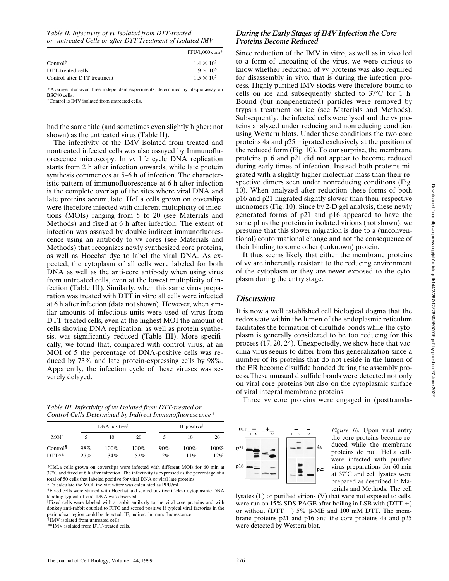*Table II. Infectivity of vv Isolated from DTT-treated or -untreated Cells or after DTT Treatment of Isolated IMV*

|                             | $PFU/1,000$ cpm*    |  |  |
|-----------------------------|---------------------|--|--|
| $Control^{\ddagger}$        | $1.4 \times 10^{7}$ |  |  |
| DTT-treated cells           | $1.9 \times 10^{6}$ |  |  |
| Control after DTT treatment | $1.5 \times 10^{7}$ |  |  |

\*Average titer over three independent experiments, determined by plaque assay on BSC<sub>40</sub> cells.

‡Control is IMV isolated from untreated cells.

had the same title (and sometimes even slightly higher; not shown) as the untreated virus (Table II).

The infectivity of the IMV isolated from treated and nontreated infected cells was also assayed by Immunofluorescence microscopy. In vv life cycle DNA replication starts from 2 h after infection onwards, while late protein synthesis commences at 5–6 h of infection. The characteristic pattern of immunofluorescence at 6 h after infection is the complete overlap of the sites where viral DNA and late proteins accumulate. HeLa cells grown on coverslips were therefore infected with different multiplicity of infections (MOIs) ranging from 5 to 20 (see Materials and Methods) and fixed at 6 h after infection. The extent of infection was assayed by double indirect immunofluorescence using an antibody to vv cores (see Materials and Methods) that recognizes newly synthesized core proteins, as well as Hoechst dye to label the viral DNA. As expected, the cytoplasm of all cells were labeled for both DNA as well as the anti-core antibody when using virus from untreated cells, even at the lowest multiplicity of infection (Table III). Similarly, when this same virus preparation was treated with DTT in vitro all cells were infected at 6 h after infection (data not shown). However, when similar amounts of infectious units were used of virus from DTT-treated cells, even at the highest MOI the amount of cells showing DNA replication, as well as protein synthesis, was significantly reduced (Table III). More specifically, we found that, compared with control virus, at an MOI of 5 the percentage of DNA-positive cells was reduced by 73% and late protein-expressing cells by 98%. Apparently, the infection cycle of these viruses was severely delayed.

*Table III. Infectivity of vv Isolated from DTT-treated or Control Cells Determined by Indirect Immunofluorescence\**

| MOI‡                 |     | DNA positive <sup>§</sup> |      | IF positive |         |      |
|----------------------|-----|---------------------------|------|-------------|---------|------|
|                      |     | 10                        | 20   |             | 10      | 20   |
| Control <sup>1</sup> | 98% | $100\%$                   | 100% | 90%         | $100\%$ | 100% |
| $DTT**$              | 27% | 34%                       | 52%  | 2%          | 11%     | 12%  |

\*HeLa cells grown on coverslips were infected with different MOIs for 60 min at 37°C and fixed at 6 h after infection. The infectivity is expressed as the percentage of a total of 50 cells that labeled positive for viral DNA or viral late proteins. ‡To calculate the MOI, the virus-titer was calculated as PFU/ml.

§Fixed cells were stained with Hoechst and scored positive if clear cytoplasmic DNA labeling typical of viral DNA was observed.

Fixed cells were labeled with a rabbit antibody to the viral core proteins and with donkey anti-rabbit coupled to FITC and scored positive if typical viral factories in the perinuclear region could be detected. IF, indirect immunofluorescence. **¶**IMV isolated from untreated cells.

\*\*IMV isolated from DTT-treated cells.

*During the Early Stages of IMV Infection the Core Proteins Become Reduced*

Since reduction of the IMV in vitro, as well as in vivo led to a form of uncoating of the virus, we were curious to know whether reduction of vv proteins was also required for disassembly in vivo, that is during the infection process. Highly purified IMV stocks were therefore bound to cells on ice and subsequently shifted to  $37^{\circ}$ C for 1 h. Bound (but nonpenetrated) particles were removed by trypsin treatment on ice (see Materials and Methods). Subsequently, the infected cells were lysed and the vv proteins analyzed under reducing and nonreducing condition using Western blots. Under these conditions the two core proteins 4a and p25 migrated exclusively at the position of the reduced form (Fig. 10). To our surprise, the membrane proteins p16 and p21 did not appear to become reduced during early times of infection. Instead both proteins migrated with a slightly higher molecular mass than their respective dimers seen under nonreducing conditions (Fig. 10). When analyzed after reduction these forms of both p16 and p21 migrated slightly slower than their respective monomers (Fig. 10). Since by 2-D gel analysis, these newly generated forms of p21 and p16 appeared to have the same pI as the proteins in isolated virions (not shown), we presume that this slower migration is due to a (unconventional) conformational change and not the consequence of their binding to some other (unknown) protein.

It thus seems likely that either the membrane proteins of vv are inherently resistant to the reducing environment of the cytoplasm or they are never exposed to the cytoplasm during the entry stage.

## *Discussion*

It is now a well established cell biological dogma that the redox state within the lumen of the endoplasmic reticulum facilitates the formation of disulfide bonds while the cytoplasm is generally considered to be too reducing for this process (17, 20, 24). Unexpectedly, we show here that vaccinia virus seems to differ from this generalization since a number of its proteins that do not reside in the lumen of the ER become disulfide bonded during the assembly process.These unusual disulfide bonds were detected not only on viral core proteins but also on the cytoplasmic surface of viral integral membrane proteins.

Three vv core proteins were engaged in (posttransla-



*Figure 10.* Upon viral entry the core proteins become reduced while the membrane proteins do not. HeLa cells were infected with purified virus preparations for 60 min at 37°C and cell lysates were prepared as described in Materials and Methods. The cell

lysates (L) or purified virions (V) that were not exposed to cells, were run on  $15\%$  SDS-PAGE after boiling in LSB with (DTT +) or without (DTT -) 5%  $\beta$ -ME and 100 mM DTT. The membrane proteins p21 and p16 and the core proteins 4a and p25 were detected by Western blot.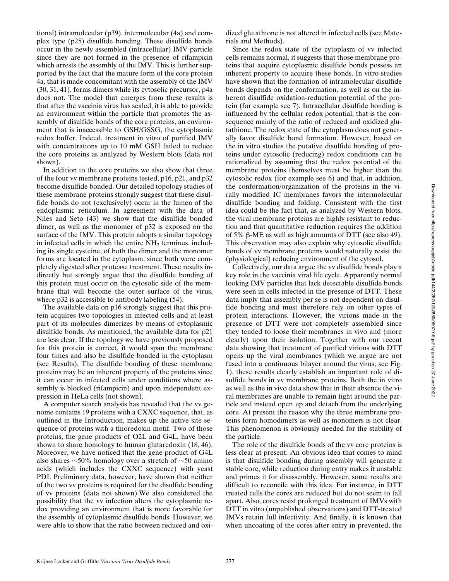tional) intramolecular (p39), intermolecular (4a) and complex type (p25) disulfide bonding. These disulfide bonds occur in the newly assembled (intracellular) IMV particle since they are not formed in the presence of rifampicin which arrests the assembly of the IMV. This is further supported by the fact that the mature form of the core protein 4a, that is made concomitant with the assembly of the IMV (30, 31, 41), forms dimers while its cytosolic precursor, p4a does not. The model that emerges from these results is that after the vaccinia virus has sealed, it is able to provide an environment within the particle that promotes the assembly of disulfide bonds of the core proteins, an environment that is inaccessible to GSH/GSSG, the cytoplasmic redox buffer. Indeed, treatment in vitro of purified IMV with concentrations up to 10 mM GSH failed to reduce the core proteins as analyzed by Western blots (data not shown).

In addition to the core proteins we also show that three of the four vv membrane proteins tested, p16, p21, and p32 become disulfide bonded. Our detailed topology studies of these membrane proteins strongly suggest that these disulfide bonds do not (exclusively) occur in the lumen of the endoplasmic reticulum. In agreement with the data of Niles and Seto (43) we show that the disulfide bonded dimer, as well as the monomer of p32 is exposed on the surface of the IMV. This protein adopts a similar topology in infected cells in which the entire  $NH<sub>2</sub>$  terminus, including its single cysteine, of both the dimer and the monomer forms are located in the cytoplasm, since both were completely digested after protease treatment. These results indirectly but strongly argue that the disulfide bonding of this protein must occur on the cytosolic side of the membrane that will become the outer surface of the virus, where p32 is accessible to antibody labeling  $(54)$ .

The available data on p16 strongly suggest that this protein acquires two topologies in infected cells and at least part of its molecules dimerizes by means of cytoplasmic disulfide bonds. As mentioned, the available data for p21 are less clear. If the topology we have previously proposed for this protein is correct, it would span the membrane four times and also be disulfide bonded in the cytoplasm (see Results). The disulfide bonding of these membrane proteins may be an inherent property of the proteins since it can occur in infected cells under conditions where assembly is blocked (rifampicin) and upon independent expression in HeLa cells (not shown).

A computer search analysis has revealed that the vv genome contains 19 proteins with a CXXC sequence, that, as outlined in the Introduction, makes up the active site sequence of proteins with a thioredoxin motif. Two of those proteins, the gene products of O2L and G4L, have been shown to share homology to human glutaredoxin (18, 46). Moreover, we have noticed that the gene product of G4L also shares  $\sim$ 50% homology over a stretch of  $\sim$ 50 amino acids (which includes the CXXC sequence) with yeast PDI. Preliminary data, however, have shown that neither of the two vv proteins is required for the disulfide bonding of vv proteins (data not shown).We also considered the possibility that the vv infection alters the cytoplasmic redox providing an environment that is more favorable for the assembly of cytoplasmic disulfide bonds. However, we were able to show that the ratio between reduced and oxidized glutathione is not altered in infected cells (see Materials and Methods).

Since the redox state of the cytoplasm of vv infected cells remains normal, it suggests that those membrane proteins that acquire cytoplasmic disulfide bonds possess an inherent property to acquire these bonds. In vitro studies have shown that the formation of intramolecular disulfide bonds depends on the conformation, as well as on the inherent disulfide oxidation-reduction potential of the protein (for example see 7). Intracellular disulfide bonding is influenced by the cellular redox potential, that is the consequence mainly of the ratio of reduced and oxidized glutathione. The redox state of the cytoplasm does not generally favor disulfide bond formation. However, based on the in vitro studies the putative disulfide bonding of proteins under cytosolic (reducing) redox conditions can be rationalized by assuming that the redox potential of the membrane proteins themselves must be higher than the cytosolic redox (for example see 6) and that, in addition, the conformation/organization of the proteins in the virally modified IC membranes favors the intermolecular disulfide bonding and folding. Consistent with the first idea could be the fact that, as analyzed by Western blots, the viral membrane proteins are highly resistant to reduction and that quantitative reduction requires the addition of 5% b-ME as well as high amounts of DTT (see also 49). This observation may also explain why cytosolic disulfide bonds of vv membrane proteins would naturally resist the (physiological) reducing environment of the cytosol.

Collectively, our data argue the vv disulfide bonds play a key role in the vaccinia viral life cycle. Apparently normal looking IMV particles that lack detectable disulfide bonds were seen in cells infected in the presence of DTT. These data imply that assembly per se is not dependent on disulfide bonding and must therefore rely on other types of protein interactions. However, the virions made in the presence of DTT were not completely assembled since they tended to loose their membranes in vivo and (more clearly) upon their isolation. Together with our recent data showing that treatment of purified virions with DTT opens up the viral membranes (which we argue are not fused into a continuous bilayer around the virus; see Fig. 1), these results clearly establish an important role of disulfide bonds in vv membrane proteins. Both the in vitro as well as the in vivo data show that in their absence the viral membranes are unable to remain tight around the particle and instead open up and detach from the underlying core. At present the reason why the three membrane proteins form homodimers as well as monomers is not clear. This phenomenon is obviously needed for the stability of the particle.

The role of the disulfide bonds of the vv core proteins is less clear at present. An obvious idea that comes to mind is that disulfide bonding during assembly will generate a stable core, while reduction during entry makes it unstable and primes it for disassembly. However, some results are difficult to reconcile with this idea. For instance, in DTT treated cells the cores are reduced but do not seem to fall apart. Also, cores resist prolonged treatment of IMVs with DTT in vitro (unpublished observations) and DTT-treated IMVs retain full infectivity. And finally, it is known that when uncoating of the cores after entry in prevented, the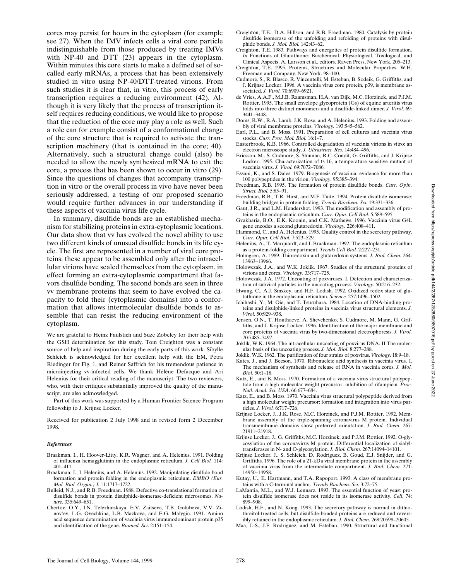cores may persist for hours in the cytoplasm (for example see 27). When the IMV infects cells a viral core particle indistinguishable from those produced by treating IMVs with NP-40 and DTT (23) appears in the cytoplasm. Within minutes this core starts to make a defined set of socalled early mRNAs, a process that has been extensively studied in vitro using NP-40/DTT-treated virions. From such studies it is clear that, in vitro, this process of early transcription requires a reducing environment (42). Although it is very likely that the process of transcription itself requires reducing conditions, we would like to propose that the reduction of the core may play a role as well. Such a role can for example consist of a conformational change of the core structure that is required to activate the transcription machinery (that is contained in the core; 40). Alternatively, such a structural change could (also) be needed to allow the newly synthesized mRNA to exit the core, a process that has been shown to occur in vitro (29). Since the questions of changes that accompany transcription in vitro or the overall process in vivo have never been seriously addressed, a testing of our proposed scenario would require further advances in our understanding if these aspects of vaccinia virus life cycle.

In summary, disulfide bonds are an established mechanism for stabilizing proteins in extra-cytoplasmic locations. Our data show that vv has evolved the novel ability to use two different kinds of unusual disulfide bonds in its life cycle. The first are represented in a number of viral core proteins: these appear to be assembled only after the intracellular virions have sealed themselves from the cytoplasm, in effect forming an extra-cytoplasmic compartment that favors disulfide bonding. The second bonds are seen in three vv membrane proteins that seem to have evolved the capacity to fold their (cytoplasmic domains) into a conformation that allows intermolecular disulfide bonds to assemble that can resist the reducing environment of the cytoplasm.

We are grateful to Heinz Faulstich and Suze Zobeley for their help with the GSH determination for this study. Tom Creighton was a constant source of help and inspiration during the early parts of this work. Sibylle Schleich is acknowledged for her excellent help with the EM, Petra Riedinger for Fig. 1, and Reiner Saffrich for his tremendous patience in microinjecting vv-infected cells. We thank Hélène Defacque and Ari Helenius for their critical reading of the manuscript. The two reviewers, who, with their critiques substantially improved the quality of the manuscript, are also acknowledged.

Part of this work was supported by a Human Frontier Science Program fellowship to J. Krijnse Locker.

Received for publication 2 July 1998 and in revised form 2 December 1998.

#### *References*

- Braakman, I., H. Hoover-Litty, K.R. Wagner, and A. Helenius. 1991. Folding of influenza hemagglutinin in the endoplasmic reticulum. *J. Cell Biol.* 114: 401–411.
- Braakman, I., I. Helenius, and A. Helenius. 1992. Manipulating disulfide bond formation and protein folding in the endoplasmic reticulum. *EMBO (Eur. Mol. Biol. Organ.) J.* 11:1717–1722.
- Bulleid, N.J., and R.B. Freedman. 1988. Defective co-translational formation of disulfide bonds in protein disulphide-isomerase-deficient microsomes. *Nature*. 335:649–651.
- Chertov, O.Y., I.N. Telezhinskaya, E.V. Zaitseva, T.B. Golubeva, V.V. Zinov'ev, L.G. Ovechkina, L.B. Mazkova, and E.G. Malygin. 1991. Amino acid sequence determination of vaccinia virus immunodominant protein p35 and identification of the gene. *Biomed. Sci*. 2:151–154.
- Creighton, T.E., D.A. Hillson, and R.B. Freedman. 1980. Catalysis by protein disulfide isomerase of the unfolding and refolding of proteins with disulphide bonds. *J. Mol. Biol.* 142:43–62.
- Creighton, T.E. 1983. Pathways and energetics of protein disulfide formation. *In* Functions of Glutathione: Biochemical, Physiological, Toxilogical, and Clinical Aspects. A. Larsson et al., editors. Raven Press, New York. 205–213.
- Creighton, T.E. 1995. Proteins, Structures and Molecular Properties. W.H. Freeman and Company, New York. 98–100.
- Cudmore, S., R. Blasco, R. Vincentelli, M. Esteban, B. Sodeik, G. Griffiths, and J. Krijnse Locker. 1996. A vaccinia virus core protein, p39, is membrane associated. *J. Virol.* 70:6909–6921.
- de Vries, A.A.F., M.J.B. Raamsman, H.A. van Dijk, M.C. Horzinek, and P.J.M. Rottier. 1995. The small envelope glycoprotein (Gs) of equine arteritis virus folds into three distinct monomers and a disulfide-linked dimer. *J. Virol*. 69: 3441–3448.
- Doms, R.W., R.A. Lamb, J.K. Rose, and A. Helenius. 1993. Folding and assembly of viral membrane proteins. *Virology.* 193:545–562.
- Earl, P.L., and B. Moss. 1991. Preparation of cell cultures and vaccinia virus stocks. *Curr. Prot. Mol. Biol.* 16:1–7.
- Easterbrook, K.B. 1966. Controlled degradation of vaccinia virions in vitro: an electron microscope study. *J. Ultrastruct. Res.* 14:484–496.
- Ericsson, M., S. Cudmore, S. Shuman, R.C. Condit, G. Griffiths, and J. Krijnse Locker. 1995. Characterization of ts 16, a temperature sensitive mutant of vaccinia virus. *J. Virol.* 69:7072–7086.
- Essani, K., and S. Dales. 1979. Biogenesis of vaccinia: evidence for more than 100 polypeptides in the virion. *Virology*. 95:385–394.
- Freedman, R.B. 1995. The formation of protein disulfide bonds. *Curr. Opin. Struct. Biol.* 5:85–91.
- Freedman, R.B., T.R. Hirst, and M.F. Tuite. 1994. Protein disulfide isomerase: building bridges in protein folding. *Trends Biochem. Sci.* 19:331–336.
- Gaut, J.R., and L.M. Hendershot. 1993. The modification and assembly of proteins in the endoplasmic reticulum. *Curr. Opin. Cell Biol.* 5:589–595.
- Gvakharia, B.O., E.K. Koonin, and C.K. Mathews. 1996. Vaccinia virus G4L gene encodes a second glutaredoxin. *Virology.* 226:408–411.
- Hammond, C., and A. Helenius. 1995. Quality control in the secretory pathway. *Curr. Opin. Cell Biol.* 7:523–529.
- Helenius, A., T. Marquardt, and I. Braakman. 1992. The endoplasmic reticulum as a protein-folding compartment. *Trends Cell Biol.* 2:227–231.
- Holmgren, A. 1989. Thioredoxin and glutaredoxin systems. *J. Biol. Chem.* 264: 13963–13966.
- Holowczak, J.A., and W.K. Joklik. 1967. Studies of the structural proteins of virions and cores. *Virology*. 33:717–725.
- Holowczak, J.A. 1972. Uncoating of poxviruses. I. Detection and characterization of subviral particles in the uncoating process. *Virology*. 50:216–232.
- Hwang, C., A.J. Sinskey, and H.F. Lodish. 1992. Oxidized redox state of glutathione in the endoplasmic reticulum. *Science.* 257:1496–1502.
- Ichihashi, Y., M. Oie, and T. Tsuruhara. 1984. Location of DNA-binding proteins and disulphide-linked proteins in vaccinia virus structural elements. *J. Virol.* 50:929–938.
- Jensen, O.N., T. Houthaeve, A. Shevchenko, S. Cudmore, M. Mann, G. Griffiths, and J. Krijnse Locker. 1996. Identification of the major membrane and core proteins of vaccinia virus by two-dimensional electrophoresis. *J. Virol.* 70:7485–7497.
- Joklik, W.K. 1964. The intracellular uncoating of poxvirus DNA. II The molecular basis of the uncoating process. *J. Mol. Biol.* 8:277–288.
- Joklik, W.K. 1962. The purification of four strains of poxvirus. *Virology*. 18:9–18. Kates, J., and J. Beeson. 1970. Ribonucleic acid synthesis in vaccinia virus. I. The mechanism of synthesis and release of RNA in vaccinia cores. *J. Mol. Biol.* 50:1–18.
- Katz, E., and B. Moss. 1970. Formation of a vaccinia virus structural polypeptide from a high molecular weight precursor: inhibition of rifampicin. *Proc. Natl. Acad. Sci. USA*. 66:677–684.
- Katz, E., and B. Moss. 1970. Vaccinia virus structural polypeptide derived from a high molecular weight precursor: formation and integration into virus particles. *J. Virol.* 6:717–726.
- Krijnse Locker, J., J.K. Rose, M.C. Horzinek, and P.J.M. Rottier. 1992. Membrane assembly of the triple-spanning coronavirus M protein. Individual transmembrane domains show preferred orientation. *J. Biol. Chem*. 267: 21911–21918.
- Krijnse Locker, J., G. Griffiths, M.C. Horzinek, and P.J.M. Rottier. 1992. O-glycosylation of the coronavirus M protein. Differential localization of sialyltransferases in N- and O-glycosylation. *J. Biol. Chem.* 267:14094–14101.
- Krijnse Locker, J., S. Schleich, D. Rodriguez, B. Goud, E.J. Snijder, and G. Griffiths. 1996. The role of a 21-kDa viral membrane protein in the assembly of vaccinia virus from the intermediate compartment. *J. Biol. Chem.* 271: 14950–14958.
- Kutay, U., E. Hartmann, and T.A. Rapoport. 1993. A class of membrane proteins with a C-terminal anchor. *Trends Biochem. Sci.* 3:72–75.
- LaMantia, M.L., and W.J. Lennarz. 1993. The essential function of yeast protein disulfide isomerase does not reside in its isomerase activity. *Cell*. 74: 899–908.
- Lodish, H.F., and N. Kong. 1993. The secretory pathway is normal in dithiothreitol-treated cells, but disulfide-bonded proteins are reduced and reversibly retained in the endoplasmic reticulum. *J. Biol. Chem*. 268:20598–20605.
- Maa, J.-S., J.F. Rodriguez, and M. Esteban. 1990. Structural and functional